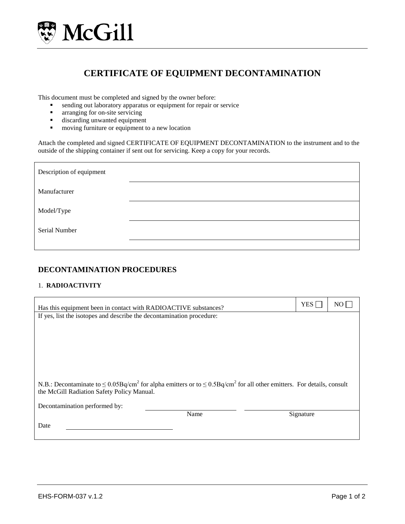

# **CERTIFICATE OF EQUIPMENT DECONTAMINATION**

This document must be completed and signed by the owner before:

- sending out laboratory apparatus or equipment for repair or service<br>arranging for on-site servicing
- arranging for on-site servicing
- discarding unwanted equipment<br>■ moving furniture or equipment to
- moving furniture or equipment to a new location

Attach the completed and signed CERTIFICATE OF EQUIPMENT DECONTAMINATION to the instrument and to the outside of the shipping container if sent out for servicing. Keep a copy for your records.

| Description of equipment |  |
|--------------------------|--|
| Manufacturer             |  |
| Model/Type               |  |
| Serial Number            |  |
|                          |  |

## **DECONTAMINATION PROCEDURES**

#### 1. **RADIOACTIVITY**

| YES <sup>[</sup>                                                                                                                                                                | NO. |  |  |  |  |
|---------------------------------------------------------------------------------------------------------------------------------------------------------------------------------|-----|--|--|--|--|
|                                                                                                                                                                                 |     |  |  |  |  |
|                                                                                                                                                                                 |     |  |  |  |  |
|                                                                                                                                                                                 |     |  |  |  |  |
|                                                                                                                                                                                 |     |  |  |  |  |
|                                                                                                                                                                                 |     |  |  |  |  |
|                                                                                                                                                                                 |     |  |  |  |  |
|                                                                                                                                                                                 |     |  |  |  |  |
| N.B.: Decontaminate to $\leq 0.05Bq/cm^2$ for alpha emitters or to $\leq 0.5Bq/cm^2$ for all other emitters. For details, consult<br>the McGill Radiation Safety Policy Manual. |     |  |  |  |  |
|                                                                                                                                                                                 |     |  |  |  |  |
| Signature                                                                                                                                                                       |     |  |  |  |  |
|                                                                                                                                                                                 |     |  |  |  |  |
|                                                                                                                                                                                 |     |  |  |  |  |
|                                                                                                                                                                                 |     |  |  |  |  |